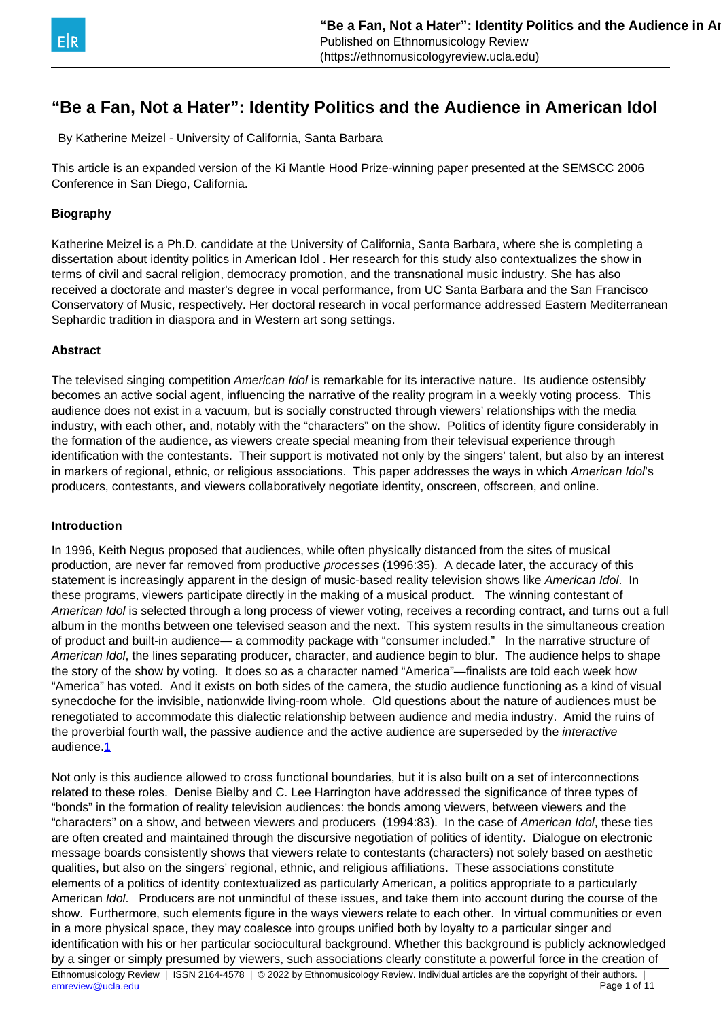# <span id="page-0-0"></span>**"Be a Fan, Not a Hater": Identity Politics and the Audience in American Idol**

By Katherine Meizel - University of California, Santa Barbara

This article is an expanded version of the Ki Mantle Hood Prize-winning paper presented at the SEMSCC 2006 Conference in San Diego, California.

## **Biography**

Katherine Meizel is a Ph.D. candidate at the University of California, Santa Barbara, where she is completing a dissertation about identity politics in American Idol . Her research for this study also contextualizes the show in terms of civil and sacral religion, democracy promotion, and the transnational music industry. She has also received a doctorate and master's degree in vocal performance, from UC Santa Barbara and the San Francisco Conservatory of Music, respectively. Her doctoral research in vocal performance addressed Eastern Mediterranean Sephardic tradition in diaspora and in Western art song settings.

## **Abstract**

The televised singing competition American Idol is remarkable for its interactive nature. Its audience ostensibly becomes an active social agent, influencing the narrative of the reality program in a weekly voting process. This audience does not exist in a vacuum, but is socially constructed through viewers' relationships with the media industry, with each other, and, notably with the "characters" on the show. Politics of identity figure considerably in the formation of the audience, as viewers create special meaning from their televisual experience through identification with the contestants. Their support is motivated not only by the singers' talent, but also by an interest in markers of regional, ethnic, or religious associations. This paper addresses the ways in which American Idol's producers, contestants, and viewers collaboratively negotiate identity, onscreen, offscreen, and online.

#### **Introduction**

In 1996, Keith Negus proposed that audiences, while often physically distanced from the sites of musical production, are never far removed from productive processes (1996:35). A decade later, the accuracy of this statement is increasingly apparent in the design of music-based reality television shows like American Idol. In these programs, viewers participate directly in the making of a musical product. The winning contestant of American Idol is selected through a long process of viewer voting, receives a recording contract, and turns out a full album in the months between one televised season and the next. This system results in the simultaneous creation of product and built-in audience— a commodity package with "consumer included." In the narrative structure of American Idol, the lines separating producer, character, and audience begin to blur. The audience helps to shape the story of the show by voting. It does so as a character named "America"—finalists are told each week how "America" has voted. And it exists on both sides of the camera, the studio audience functioning as a kind of visual synecdoche for the invisible, nationwide living-room whole. Old questions about the nature of audiences must be renegotiated to accommodate this dialectic relationship between audience and media industry. Amid the ruins of the proverbial fourth wall, the passive audience and the active audience are superseded by the interactive audience.[1](#page-0-0)

Not only is this audience allowed to cross functional boundaries, but it is also built on a set of interconnections related to these roles. Denise Bielby and C. Lee Harrington have addressed the significance of three types of "bonds" in the formation of reality television audiences: the bonds among viewers, between viewers and the "characters" on a show, and between viewers and producers (1994:83). In the case of American Idol, these ties are often created and maintained through the discursive negotiation of politics of identity. Dialogue on electronic message boards consistently shows that viewers relate to contestants (characters) not solely based on aesthetic qualities, but also on the singers' regional, ethnic, and religious affiliations. These associations constitute elements of a politics of identity contextualized as particularly American, a politics appropriate to a particularly American *Idol.* Producers are not unmindful of these issues, and take them into account during the course of the show. Furthermore, such elements figure in the ways viewers relate to each other. In virtual communities or even in a more physical space, they may coalesce into groups unified both by loyalty to a particular singer and identification with his or her particular sociocultural background. Whether this background is publicly acknowledged by a singer or simply presumed by viewers, such associations clearly constitute a powerful force in the creation of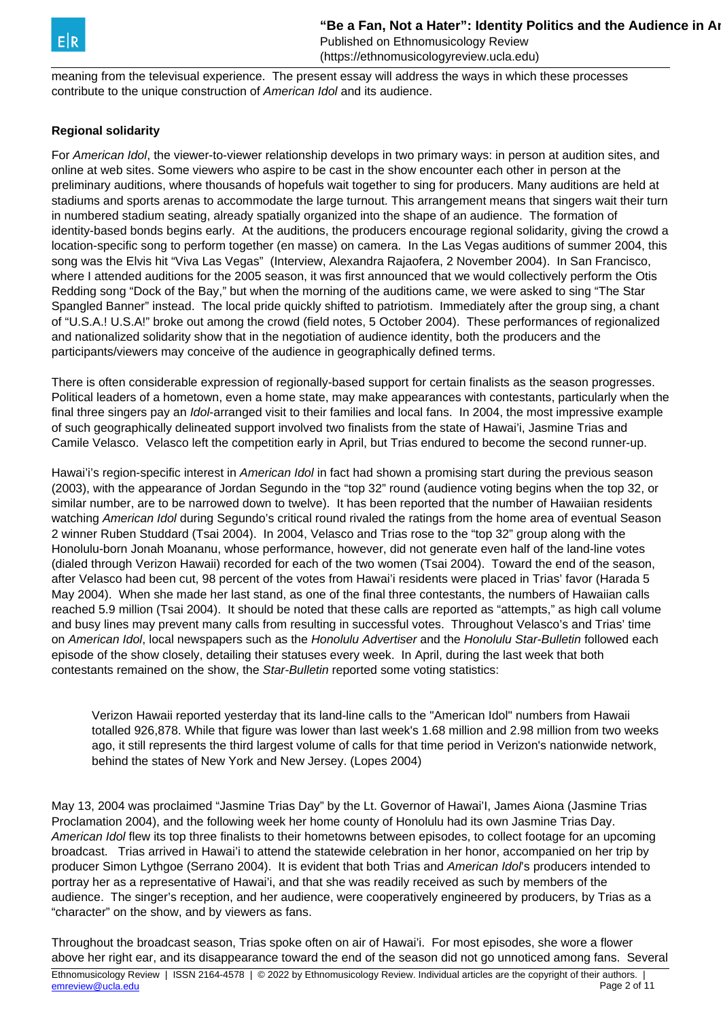

(https://ethnomusicologyreview.ucla.edu)

meaning from the televisual experience. The present essay will address the ways in which these processes contribute to the unique construction of American Idol and its audience.

# **Regional solidarity**

For American Idol, the viewer-to-viewer relationship develops in two primary ways: in person at audition sites, and online at web sites. Some viewers who aspire to be cast in the show encounter each other in person at the preliminary auditions, where thousands of hopefuls wait together to sing for producers. Many auditions are held at stadiums and sports arenas to accommodate the large turnout. This arrangement means that singers wait their turn in numbered stadium seating, already spatially organized into the shape of an audience. The formation of identity-based bonds begins early. At the auditions, the producers encourage regional solidarity, giving the crowd a location-specific song to perform together (en masse) on camera. In the Las Vegas auditions of summer 2004, this song was the Elvis hit "Viva Las Vegas" (Interview, Alexandra Rajaofera, 2 November 2004). In San Francisco, where I attended auditions for the 2005 season, it was first announced that we would collectively perform the Otis Redding song "Dock of the Bay," but when the morning of the auditions came, we were asked to sing "The Star Spangled Banner" instead. The local pride quickly shifted to patriotism. Immediately after the group sing, a chant of "U.S.A.! U.S.A!" broke out among the crowd (field notes, 5 October 2004). These performances of regionalized and nationalized solidarity show that in the negotiation of audience identity, both the producers and the participants/viewers may conceive of the audience in geographically defined terms.

There is often considerable expression of regionally-based support for certain finalists as the season progresses. Political leaders of a hometown, even a home state, may make appearances with contestants, particularly when the final three singers pay an *Idol-arranged visit to their families and local fans.* In 2004, the most impressive example of such geographically delineated support involved two finalists from the state of Hawai'i, Jasmine Trias and Camile Velasco. Velasco left the competition early in April, but Trias endured to become the second runner-up.

Hawai'i's region-specific interest in American Idol in fact had shown a promising start during the previous season (2003), with the appearance of Jordan Segundo in the "top 32" round (audience voting begins when the top 32, or similar number, are to be narrowed down to twelve). It has been reported that the number of Hawaiian residents watching American Idol during Segundo's critical round rivaled the ratings from the home area of eventual Season 2 winner Ruben Studdard (Tsai 2004). In 2004, Velasco and Trias rose to the "top 32" group along with the Honolulu-born Jonah Moananu, whose performance, however, did not generate even half of the land-line votes (dialed through Verizon Hawaii) recorded for each of the two women (Tsai 2004). Toward the end of the season, after Velasco had been cut, 98 percent of the votes from Hawai'i residents were placed in Trias' favor (Harada 5 May 2004). When she made her last stand, as one of the final three contestants, the numbers of Hawaiian calls reached 5.9 million (Tsai 2004). It should be noted that these calls are reported as "attempts," as high call volume and busy lines may prevent many calls from resulting in successful votes. Throughout Velasco's and Trias' time on American Idol, local newspapers such as the Honolulu Advertiser and the Honolulu Star-Bulletin followed each episode of the show closely, detailing their statuses every week. In April, during the last week that both contestants remained on the show, the Star-Bulletin reported some voting statistics:

Verizon Hawaii reported yesterday that its land-line calls to the "American Idol" numbers from Hawaii totalled 926,878. While that figure was lower than last week's 1.68 million and 2.98 million from two weeks ago, it still represents the third largest volume of calls for that time period in Verizon's nationwide network, behind the states of New York and New Jersey. (Lopes 2004)

May 13, 2004 was proclaimed "Jasmine Trias Day" by the Lt. Governor of Hawai'I, James Aiona (Jasmine Trias Proclamation 2004), and the following week her home county of Honolulu had its own Jasmine Trias Day. American Idol flew its top three finalists to their hometowns between episodes, to collect footage for an upcoming broadcast. Trias arrived in Hawai'i to attend the statewide celebration in her honor, accompanied on her trip by producer Simon Lythgoe (Serrano 2004). It is evident that both Trias and American Idol's producers intended to portray her as a representative of Hawai'i, and that she was readily received as such by members of the audience. The singer's reception, and her audience, were cooperatively engineered by producers, by Trias as a "character" on the show, and by viewers as fans.

Throughout the broadcast season, Trias spoke often on air of Hawai'i. For most episodes, she wore a flower above her right ear, and its disappearance toward the end of the season did not go unnoticed among fans. Several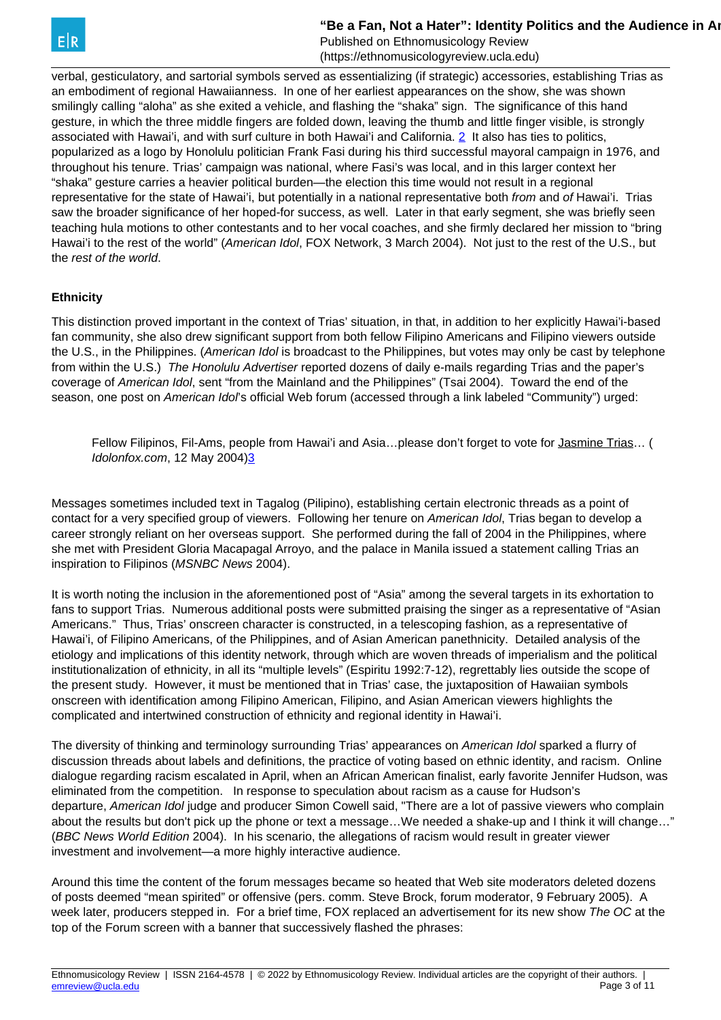<span id="page-2-0"></span>verbal, gesticulatory, and sartorial symbols served as essentializing (if strategic) accessories, establishing Trias as an embodiment of regional Hawaiianness. In one of her earliest appearances on the show, she was shown smilingly calling "aloha" as she exited a vehicle, and flashing the "shaka" sign. The significance of this hand gesture, in which the three middle fingers are folded down, leaving the thumb and little finger visible, is strongly associated with Hawai'i, and with surf culture in both Hawai'i and California. [2](#page-2-0) It also has ties to politics, popularized as a logo by Honolulu politician Frank Fasi during his third successful mayoral campaign in 1976, and throughout his tenure. Trias' campaign was national, where Fasi's was local, and in this larger context her "shaka" gesture carries a heavier political burden—the election this time would not result in a regional representative for the state of Hawai'i, but potentially in a national representative both *from* and of Hawai'i. Trias saw the broader significance of her hoped-for success, as well. Later in that early segment, she was briefly seen teaching hula motions to other contestants and to her vocal coaches, and she firmly declared her mission to "bring Hawai'i to the rest of the world" (American Idol, FOX Network, 3 March 2004). Not just to the rest of the U.S., but the rest of the world.

## **Ethnicity**

This distinction proved important in the context of Trias' situation, in that, in addition to her explicitly Hawai'i-based fan community, she also drew significant support from both fellow Filipino Americans and Filipino viewers outside the U.S., in the Philippines. (American Idol is broadcast to the Philippines, but votes may only be cast by telephone from within the U.S.) The Honolulu Advertiser reported dozens of daily e-mails regarding Trias and the paper's coverage of American Idol, sent "from the Mainland and the Philippines" (Tsai 2004). Toward the end of the season, one post on American Idol's official Web forum (accessed through a link labeled "Community") urged:

Fellow Filipinos, Fil-Ams, people from Hawai'i and Asia...please don't forget to vote for Jasmine Trias... ( Idolonfox.com, 12 May 2004)[3](#page-2-0)

Messages sometimes included text in Tagalog (Pilipino), establishing certain electronic threads as a point of contact for a very specified group of viewers. Following her tenure on American Idol, Trias began to develop a career strongly reliant on her overseas support. She performed during the fall of 2004 in the Philippines, where she met with President Gloria Macapagal Arroyo, and the palace in Manila issued a statement calling Trias an inspiration to Filipinos (MSNBC News 2004).

It is worth noting the inclusion in the aforementioned post of "Asia" among the several targets in its exhortation to fans to support Trias. Numerous additional posts were submitted praising the singer as a representative of "Asian Americans." Thus, Trias' onscreen character is constructed, in a telescoping fashion, as a representative of Hawai'i, of Filipino Americans, of the Philippines, and of Asian American panethnicity. Detailed analysis of the etiology and implications of this identity network, through which are woven threads of imperialism and the political institutionalization of ethnicity, in all its "multiple levels" (Espiritu 1992:7-12), regrettably lies outside the scope of the present study. However, it must be mentioned that in Trias' case, the juxtaposition of Hawaiian symbols onscreen with identification among Filipino American, Filipino, and Asian American viewers highlights the complicated and intertwined construction of ethnicity and regional identity in Hawai'i.

The diversity of thinking and terminology surrounding Trias' appearances on American Idol sparked a flurry of discussion threads about labels and definitions, the practice of voting based on ethnic identity, and racism. Online dialogue regarding racism escalated in April, when an African American finalist, early favorite Jennifer Hudson, was eliminated from the competition. In response to speculation about racism as a cause for Hudson's departure, American Idol judge and producer Simon Cowell said, "There are a lot of passive viewers who complain about the results but don't pick up the phone or text a message…We needed a shake-up and I think it will change…" (BBC News World Edition 2004). In his scenario, the allegations of racism would result in greater viewer investment and involvement—a more highly interactive audience.

Around this time the content of the forum messages became so heated that Web site moderators deleted dozens of posts deemed "mean spirited" or offensive (pers. comm. Steve Brock, forum moderator, 9 February 2005). A week later, producers stepped in. For a brief time, FOX replaced an advertisement for its new show The OC at the top of the Forum screen with a banner that successively flashed the phrases: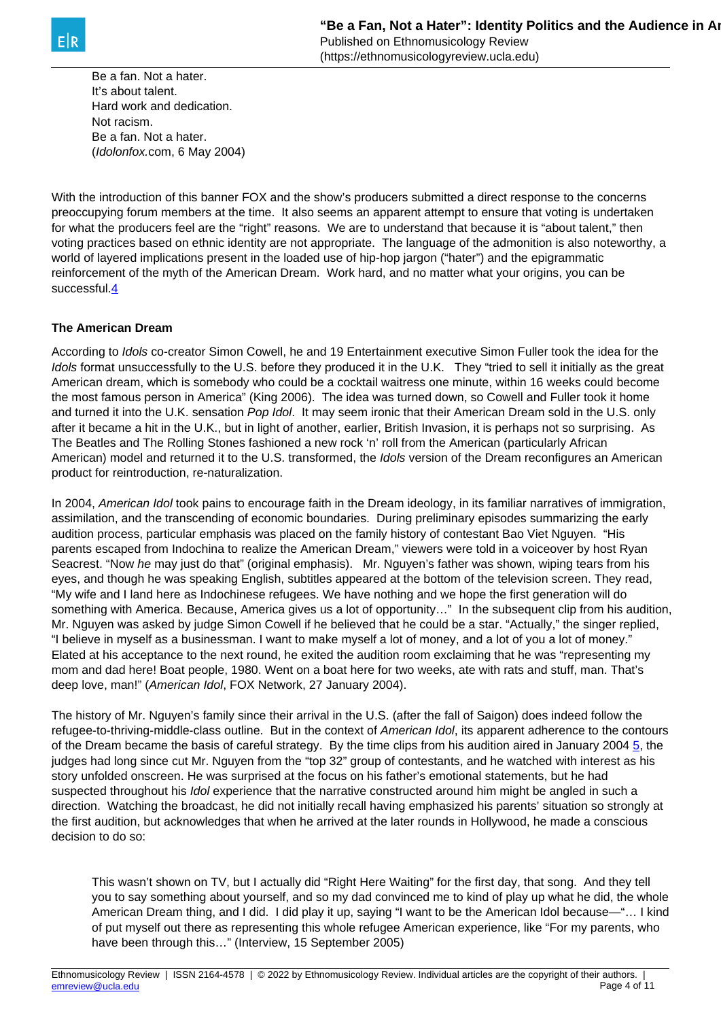<span id="page-3-0"></span>

Be a fan. Not a hater. It's about talent. Hard work and dedication. Not racism. Be a fan. Not a hater. (Idolonfox.com, 6 May 2004)

With the introduction of this banner FOX and the show's producers submitted a direct response to the concerns preoccupying forum members at the time. It also seems an apparent attempt to ensure that voting is undertaken for what the producers feel are the "right" reasons. We are to understand that because it is "about talent," then voting practices based on ethnic identity are not appropriate. The language of the admonition is also noteworthy, a world of layered implications present in the loaded use of hip-hop jargon ("hater") and the epigrammatic reinforcement of the myth of the American Dream. Work hard, and no matter what your origins, you can be successful.[4](#page-3-0)

## **The American Dream**

According to Idols co-creator Simon Cowell, he and 19 Entertainment executive Simon Fuller took the idea for the Idols format unsuccessfully to the U.S. before they produced it in the U.K. They "tried to sell it initially as the great American dream, which is somebody who could be a cocktail waitress one minute, within 16 weeks could become the most famous person in America" (King 2006). The idea was turned down, so Cowell and Fuller took it home and turned it into the U.K. sensation Pop Idol. It may seem ironic that their American Dream sold in the U.S. only after it became a hit in the U.K., but in light of another, earlier, British Invasion, it is perhaps not so surprising. As The Beatles and The Rolling Stones fashioned a new rock 'n' roll from the American (particularly African American) model and returned it to the U.S. transformed, the *Idols* version of the Dream reconfigures an American product for reintroduction, re-naturalization.

In 2004, American Idol took pains to encourage faith in the Dream ideology, in its familiar narratives of immigration, assimilation, and the transcending of economic boundaries. During preliminary episodes summarizing the early audition process, particular emphasis was placed on the family history of contestant Bao Viet Nguyen. "His parents escaped from Indochina to realize the American Dream," viewers were told in a voiceover by host Ryan Seacrest. "Now he may just do that" (original emphasis). Mr. Nguyen's father was shown, wiping tears from his eyes, and though he was speaking English, subtitles appeared at the bottom of the television screen. They read, "My wife and I land here as Indochinese refugees. We have nothing and we hope the first generation will do something with America. Because, America gives us a lot of opportunity..." In the subsequent clip from his audition, Mr. Nguyen was asked by judge Simon Cowell if he believed that he could be a star. "Actually," the singer replied, "I believe in myself as a businessman. I want to make myself a lot of money, and a lot of you a lot of money." Elated at his acceptance to the next round, he exited the audition room exclaiming that he was "representing my mom and dad here! Boat people, 1980. Went on a boat here for two weeks, ate with rats and stuff, man. That's deep love, man!" (American Idol, FOX Network, 27 January 2004).

The history of Mr. Nguyen's family since their arrival in the U.S. (after the fall of Saigon) does indeed follow the refugee-to-thriving-middle-class outline. But in the context of American Idol, its apparent adherence to the contours of the Dream became the basis of careful strategy. By the time clips from his audition aired in January 2004 [5](#page-3-0), the judges had long since cut Mr. Nguyen from the "top 32" group of contestants, and he watched with interest as his story unfolded onscreen. He was surprised at the focus on his father's emotional statements, but he had suspected throughout his *Idol* experience that the narrative constructed around him might be angled in such a direction. Watching the broadcast, he did not initially recall having emphasized his parents' situation so strongly at the first audition, but acknowledges that when he arrived at the later rounds in Hollywood, he made a conscious decision to do so:

This wasn't shown on TV, but I actually did "Right Here Waiting" for the first day, that song. And they tell you to say something about yourself, and so my dad convinced me to kind of play up what he did, the whole American Dream thing, and I did. I did play it up, saying "I want to be the American Idol because—"… I kind of put myself out there as representing this whole refugee American experience, like "For my parents, who have been through this…" (Interview, 15 September 2005)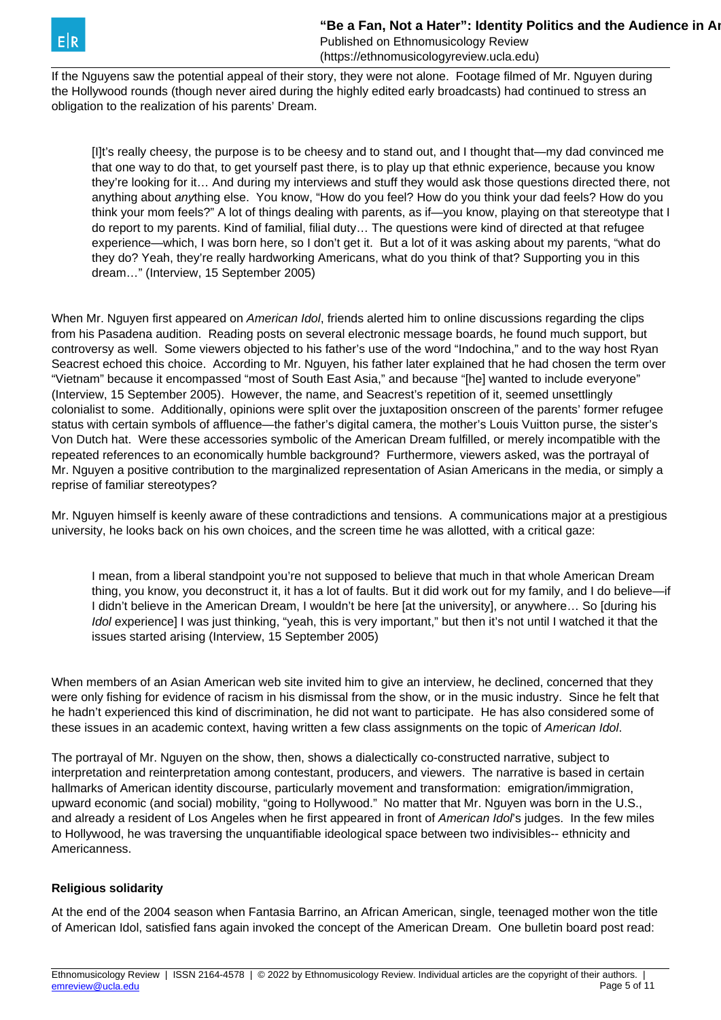

If the Nguyens saw the potential appeal of their story, they were not alone. Footage filmed of Mr. Nguyen during the Hollywood rounds (though never aired during the highly edited early broadcasts) had continued to stress an obligation to the realization of his parents' Dream.

[I]t's really cheesy, the purpose is to be cheesy and to stand out, and I thought that—my dad convinced me that one way to do that, to get yourself past there, is to play up that ethnic experience, because you know they're looking for it… And during my interviews and stuff they would ask those questions directed there, not anything about anything else. You know, "How do you feel? How do you think your dad feels? How do you think your mom feels?" A lot of things dealing with parents, as if—you know, playing on that stereotype that I do report to my parents. Kind of familial, filial duty… The questions were kind of directed at that refugee experience—which, I was born here, so I don't get it. But a lot of it was asking about my parents, "what do they do? Yeah, they're really hardworking Americans, what do you think of that? Supporting you in this dream…" (Interview, 15 September 2005)

When Mr. Nguyen first appeared on American Idol, friends alerted him to online discussions regarding the clips from his Pasadena audition. Reading posts on several electronic message boards, he found much support, but controversy as well. Some viewers objected to his father's use of the word "Indochina," and to the way host Ryan Seacrest echoed this choice. According to Mr. Nguyen, his father later explained that he had chosen the term over "Vietnam" because it encompassed "most of South East Asia," and because "[he] wanted to include everyone" (Interview, 15 September 2005). However, the name, and Seacrest's repetition of it, seemed unsettlingly colonialist to some. Additionally, opinions were split over the juxtaposition onscreen of the parents' former refugee status with certain symbols of affluence—the father's digital camera, the mother's Louis Vuitton purse, the sister's Von Dutch hat. Were these accessories symbolic of the American Dream fulfilled, or merely incompatible with the repeated references to an economically humble background? Furthermore, viewers asked, was the portrayal of Mr. Nguyen a positive contribution to the marginalized representation of Asian Americans in the media, or simply a reprise of familiar stereotypes?

Mr. Nguyen himself is keenly aware of these contradictions and tensions. A communications major at a prestigious university, he looks back on his own choices, and the screen time he was allotted, with a critical gaze:

I mean, from a liberal standpoint you're not supposed to believe that much in that whole American Dream thing, you know, you deconstruct it, it has a lot of faults. But it did work out for my family, and I do believe—if I didn't believe in the American Dream, I wouldn't be here [at the university], or anywhere… So [during his Idol experience] I was just thinking, "yeah, this is very important," but then it's not until I watched it that the issues started arising (Interview, 15 September 2005)

When members of an Asian American web site invited him to give an interview, he declined, concerned that they were only fishing for evidence of racism in his dismissal from the show, or in the music industry. Since he felt that he hadn't experienced this kind of discrimination, he did not want to participate. He has also considered some of these issues in an academic context, having written a few class assignments on the topic of American Idol.

The portrayal of Mr. Nguyen on the show, then, shows a dialectically co-constructed narrative, subject to interpretation and reinterpretation among contestant, producers, and viewers. The narrative is based in certain hallmarks of American identity discourse, particularly movement and transformation: emigration/immigration, upward economic (and social) mobility, "going to Hollywood." No matter that Mr. Nguyen was born in the U.S., and already a resident of Los Angeles when he first appeared in front of American Idol's judges. In the few miles to Hollywood, he was traversing the unquantifiable ideological space between two indivisibles-- ethnicity and Americanness.

#### **Religious solidarity**

At the end of the 2004 season when Fantasia Barrino, an African American, single, teenaged mother won the title of American Idol, satisfied fans again invoked the concept of the American Dream. One bulletin board post read: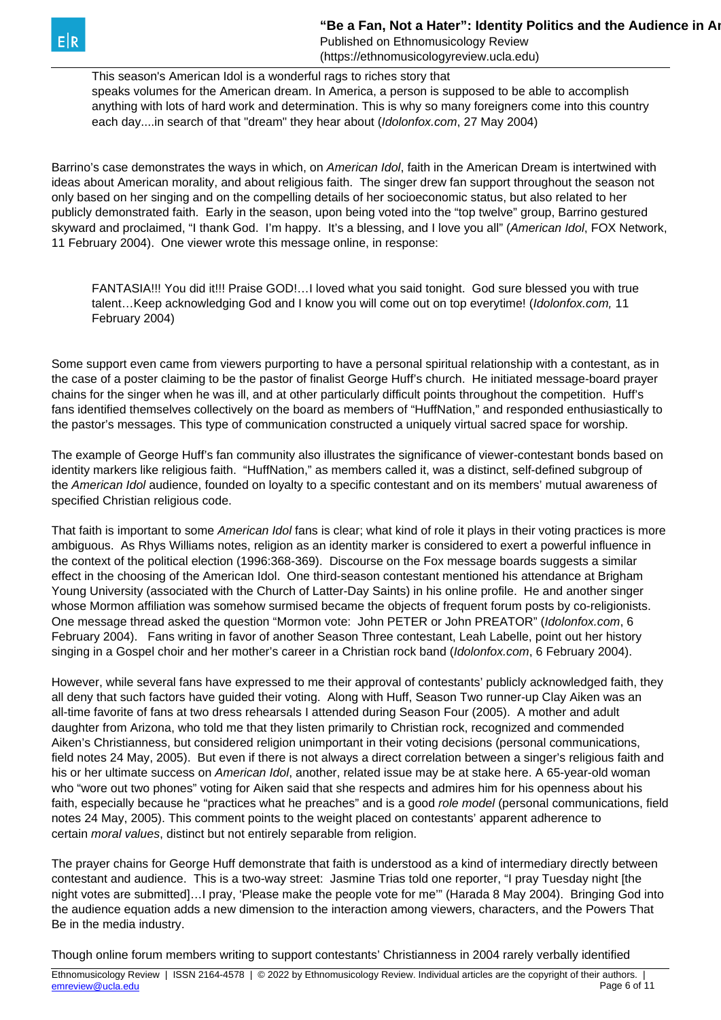This season's American Idol is a wonderful rags to riches story that speaks volumes for the American dream. In America, a person is supposed to be able to accomplish anything with lots of hard work and determination. This is why so many foreigners come into this country each day....in search of that "dream" they hear about (Idolonfox.com, 27 May 2004)

Barrino's case demonstrates the ways in which, on American Idol, faith in the American Dream is intertwined with ideas about American morality, and about religious faith. The singer drew fan support throughout the season not only based on her singing and on the compelling details of her socioeconomic status, but also related to her publicly demonstrated faith. Early in the season, upon being voted into the "top twelve" group, Barrino gestured skyward and proclaimed, "I thank God. I'm happy. It's a blessing, and I love you all" (American Idol, FOX Network, 11 February 2004). One viewer wrote this message online, in response:

FANTASIA!!! You did it!!! Praise GOD!…I loved what you said tonight. God sure blessed you with true talent... Keep acknowledging God and I know you will come out on top everytime! (Idolonfox.com, 11 February 2004)

Some support even came from viewers purporting to have a personal spiritual relationship with a contestant, as in the case of a poster claiming to be the pastor of finalist George Huff's church. He initiated message-board prayer chains for the singer when he was ill, and at other particularly difficult points throughout the competition. Huff's fans identified themselves collectively on the board as members of "HuffNation," and responded enthusiastically to the pastor's messages. This type of communication constructed a uniquely virtual sacred space for worship.

The example of George Huff's fan community also illustrates the significance of viewer-contestant bonds based on identity markers like religious faith. "HuffNation," as members called it, was a distinct, self-defined subgroup of the American Idol audience, founded on loyalty to a specific contestant and on its members' mutual awareness of specified Christian religious code.

That faith is important to some American Idol fans is clear; what kind of role it plays in their voting practices is more ambiguous. As Rhys Williams notes, religion as an identity marker is considered to exert a powerful influence in the context of the political election (1996:368-369). Discourse on the Fox message boards suggests a similar effect in the choosing of the American Idol. One third-season contestant mentioned his attendance at Brigham Young University (associated with the Church of Latter-Day Saints) in his online profile. He and another singer whose Mormon affiliation was somehow surmised became the objects of frequent forum posts by co-religionists. One message thread asked the question "Mormon vote: John PETER or John PREATOR" (Idolonfox.com, 6 February 2004). Fans writing in favor of another Season Three contestant, Leah Labelle, point out her history singing in a Gospel choir and her mother's career in a Christian rock band (Idolonfox.com, 6 February 2004).

However, while several fans have expressed to me their approval of contestants' publicly acknowledged faith, they all deny that such factors have guided their voting. Along with Huff, Season Two runner-up Clay Aiken was an all-time favorite of fans at two dress rehearsals I attended during Season Four (2005). A mother and adult daughter from Arizona, who told me that they listen primarily to Christian rock, recognized and commended Aiken's Christianness, but considered religion unimportant in their voting decisions (personal communications, field notes 24 May, 2005). But even if there is not always a direct correlation between a singer's religious faith and his or her ultimate success on American Idol, another, related issue may be at stake here. A 65-year-old woman who "wore out two phones" voting for Aiken said that she respects and admires him for his openness about his faith, especially because he "practices what he preaches" and is a good role model (personal communications, field notes 24 May, 2005). This comment points to the weight placed on contestants' apparent adherence to certain moral values, distinct but not entirely separable from religion.

The prayer chains for George Huff demonstrate that faith is understood as a kind of intermediary directly between contestant and audience. This is a two-way street: Jasmine Trias told one reporter, "I pray Tuesday night [the night votes are submitted]…I pray, 'Please make the people vote for me'" (Harada 8 May 2004). Bringing God into the audience equation adds a new dimension to the interaction among viewers, characters, and the Powers That Be in the media industry.

Though online forum members writing to support contestants' Christianness in 2004 rarely verbally identified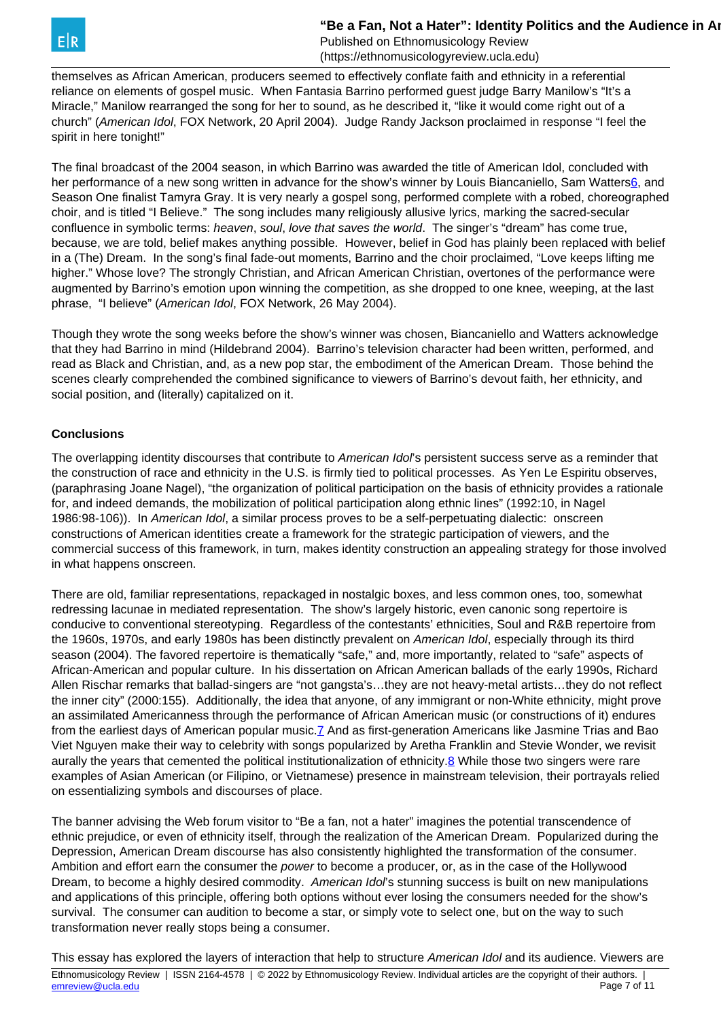<span id="page-6-0"></span>

themselves as African American, producers seemed to effectively conflate faith and ethnicity in a referential reliance on elements of gospel music. When Fantasia Barrino performed guest judge Barry Manilow's "It's a Miracle," Manilow rearranged the song for her to sound, as he described it, "like it would come right out of a church" (American Idol, FOX Network, 20 April 2004). Judge Randy Jackson proclaimed in response "I feel the spirit in here tonight!"

The final broadcast of the 2004 season, in which Barrino was awarded the title of American Idol, concluded with her performance of a new song written in advance for the show's winner by Louis Biancaniello, Sam Watter[s6,](#page-6-0) and Season One finalist Tamyra Gray. It is very nearly a gospel song, performed complete with a robed, choreographed choir, and is titled "I Believe." The song includes many religiously allusive lyrics, marking the sacred-secular confluence in symbolic terms: heaven, soul, love that saves the world. The singer's "dream" has come true, because, we are told, belief makes anything possible. However, belief in God has plainly been replaced with belief in a (The) Dream. In the song's final fade-out moments, Barrino and the choir proclaimed, "Love keeps lifting me higher." Whose love? The strongly Christian, and African American Christian, overtones of the performance were augmented by Barrino's emotion upon winning the competition, as she dropped to one knee, weeping, at the last phrase, "I believe" (American Idol, FOX Network, 26 May 2004).

Though they wrote the song weeks before the show's winner was chosen, Biancaniello and Watters acknowledge that they had Barrino in mind (Hildebrand 2004). Barrino's television character had been written, performed, and read as Black and Christian, and, as a new pop star, the embodiment of the American Dream. Those behind the scenes clearly comprehended the combined significance to viewers of Barrino's devout faith, her ethnicity, and social position, and (literally) capitalized on it.

## **Conclusions**

The overlapping identity discourses that contribute to American Idol's persistent success serve as a reminder that the construction of race and ethnicity in the U.S. is firmly tied to political processes. As Yen Le Espiritu observes, (paraphrasing Joane Nagel), "the organization of political participation on the basis of ethnicity provides a rationale for, and indeed demands, the mobilization of political participation along ethnic lines" (1992:10, in Nagel 1986:98-106)). In American Idol, a similar process proves to be a self-perpetuating dialectic: onscreen constructions of American identities create a framework for the strategic participation of viewers, and the commercial success of this framework, in turn, makes identity construction an appealing strategy for those involved in what happens onscreen.

There are old, familiar representations, repackaged in nostalgic boxes, and less common ones, too, somewhat redressing lacunae in mediated representation. The show's largely historic, even canonic song repertoire is conducive to conventional stereotyping. Regardless of the contestants' ethnicities, Soul and R&B repertoire from the 1960s, 1970s, and early 1980s has been distinctly prevalent on American Idol, especially through its third season (2004). The favored repertoire is thematically "safe," and, more importantly, related to "safe" aspects of African-American and popular culture. In his dissertation on African American ballads of the early 1990s, Richard Allen Rischar remarks that ballad-singers are "not gangsta's…they are not heavy-metal artists…they do not reflect the inner city" (2000:155). Additionally, the idea that anyone, of any immigrant or non-White ethnicity, might prove an assimilated Americanness through the performance of African American music (or constructions of it) endures from the earliest days of American popular music[.7](#page-6-0) And as first-generation Americans like Jasmine Trias and Bao Viet Nguyen make their way to celebrity with songs popularized by Aretha Franklin and Stevie Wonder, we revisit aurally the years that cemented the political institutionalization of ethnicity.[8](#page-6-0) While those two singers were rare examples of Asian American (or Filipino, or Vietnamese) presence in mainstream television, their portrayals relied on essentializing symbols and discourses of place.

The banner advising the Web forum visitor to "Be a fan, not a hater" imagines the potential transcendence of ethnic prejudice, or even of ethnicity itself, through the realization of the American Dream. Popularized during the Depression, American Dream discourse has also consistently highlighted the transformation of the consumer. Ambition and effort earn the consumer the power to become a producer, or, as in the case of the Hollywood Dream, to become a highly desired commodity. American Idol's stunning success is built on new manipulations and applications of this principle, offering both options without ever losing the consumers needed for the show's survival. The consumer can audition to become a star, or simply vote to select one, but on the way to such transformation never really stops being a consumer.

This essay has explored the layers of interaction that help to structure American Idol and its audience. Viewers are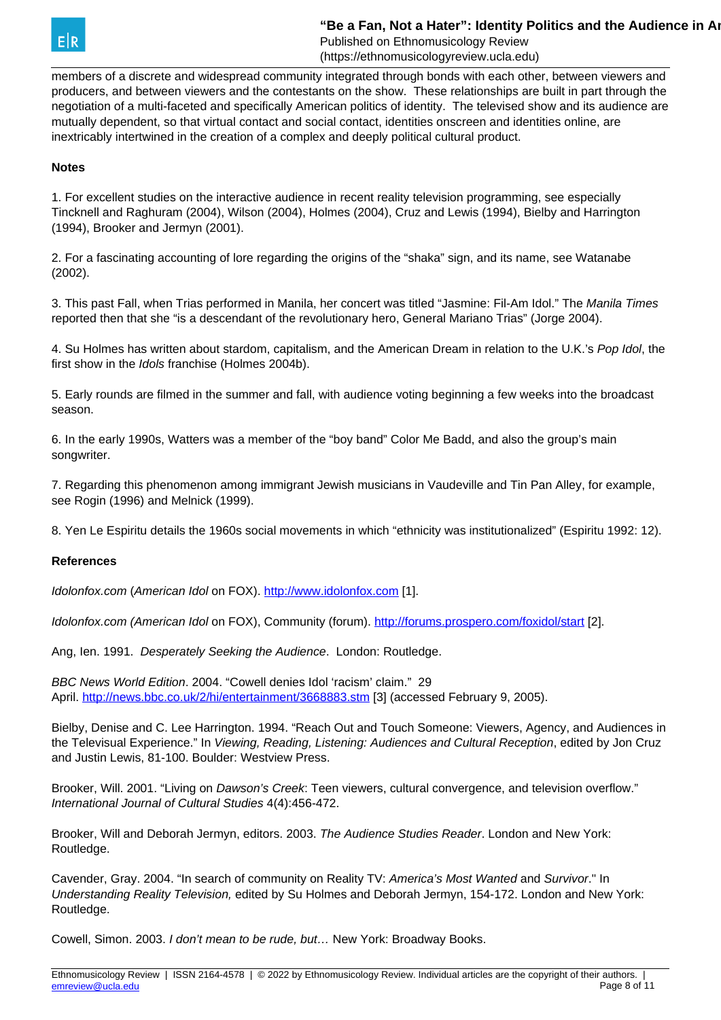

members of a discrete and widespread community integrated through bonds with each other, between viewers and producers, and between viewers and the contestants on the show. These relationships are built in part through the negotiation of a multi-faceted and specifically American politics of identity. The televised show and its audience are mutually dependent, so that virtual contact and social contact, identities onscreen and identities online, are inextricably intertwined in the creation of a complex and deeply political cultural product.

#### **Notes**

1. For excellent studies on the interactive audience in recent reality television programming, see especially Tincknell and Raghuram (2004), Wilson (2004), Holmes (2004), Cruz and Lewis (1994), Bielby and Harrington (1994), Brooker and Jermyn (2001).

2. For a fascinating accounting of lore regarding the origins of the "shaka" sign, and its name, see Watanabe (2002).

3. This past Fall, when Trias performed in Manila, her concert was titled "Jasmine: Fil-Am Idol." The Manila Times reported then that she "is a descendant of the revolutionary hero, General Mariano Trias" (Jorge 2004).

4. Su Holmes has written about stardom, capitalism, and the American Dream in relation to the U.K.'s Pop Idol, the first show in the *Idols* franchise (Holmes 2004b).

5. Early rounds are filmed in the summer and fall, with audience voting beginning a few weeks into the broadcast season.

6. In the early 1990s, Watters was a member of the "boy band" Color Me Badd, and also the group's main songwriter.

7. Regarding this phenomenon among immigrant Jewish musicians in Vaudeville and Tin Pan Alley, for example, see Rogin (1996) and Melnick (1999).

8. Yen Le Espiritu details the 1960s social movements in which "ethnicity was institutionalized" (Espiritu 1992: 12).

#### **References**

Idolonfox.com (American Idol on FOX).<http://www.idolonfox.com> [1].

Idolonfox.com (American Idol on FOX), Community (forum).<http://forums.prospero.com/foxidol/start> [2].

Ang, Ien. 1991. Desperately Seeking the Audience. London: Routledge.

BBC News World Edition. 2004. "Cowell denies Idol 'racism' claim." 29 April.<http://news.bbc.co.uk/2/hi/entertainment/3668883.stm> [3] (accessed February 9, 2005).

Bielby, Denise and C. Lee Harrington. 1994. "Reach Out and Touch Someone: Viewers, Agency, and Audiences in the Televisual Experience." In Viewing, Reading, Listening: Audiences and Cultural Reception, edited by Jon Cruz and Justin Lewis, 81-100. Boulder: Westview Press.

Brooker, Will. 2001. "Living on Dawson's Creek: Teen viewers, cultural convergence, and television overflow." International Journal of Cultural Studies 4(4):456-472.

Brooker, Will and Deborah Jermyn, editors. 2003. The Audience Studies Reader. London and New York: Routledge.

Cavender, Gray. 2004. "In search of community on Reality TV: America's Most Wanted and Survivor." In Understanding Reality Television, edited by Su Holmes and Deborah Jermyn, 154-172. London and New York: Routledge.

Cowell, Simon. 2003. I don't mean to be rude, but… New York: Broadway Books.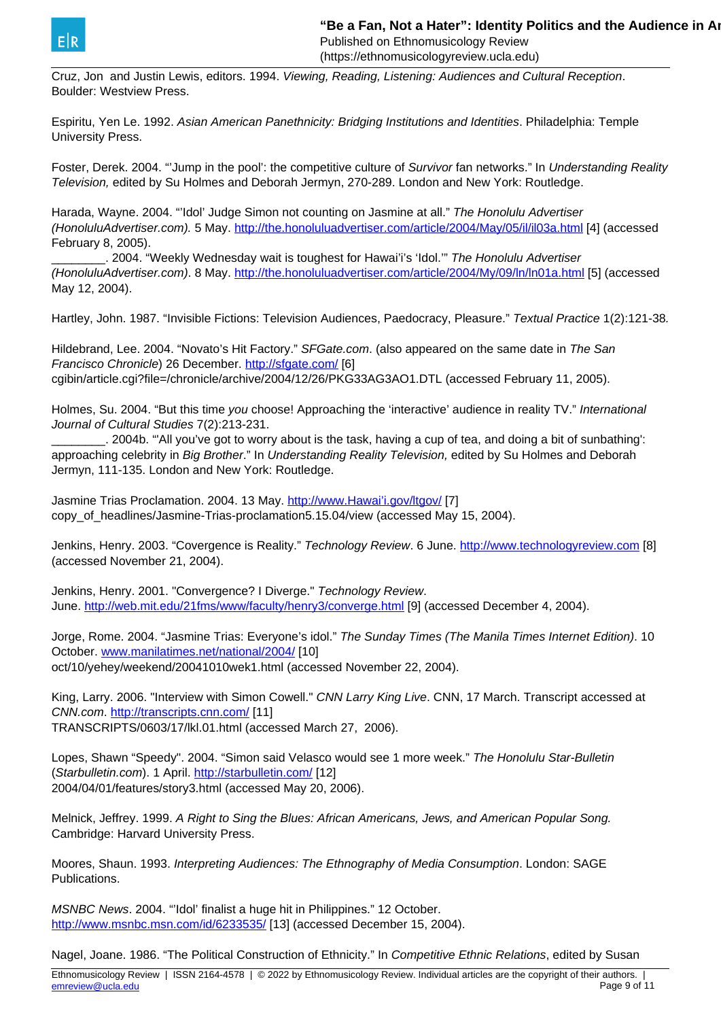

Cruz, Jon and Justin Lewis, editors. 1994. Viewing, Reading, Listening: Audiences and Cultural Reception. Boulder: Westview Press.

Espiritu, Yen Le. 1992. Asian American Panethnicity: Bridging Institutions and Identities. Philadelphia: Temple University Press.

Foster, Derek. 2004. "'Jump in the pool': the competitive culture of Survivor fan networks." In Understanding Reality Television, edited by Su Holmes and Deborah Jermyn, 270-289. London and New York: Routledge.

Harada, Wayne. 2004. "'Idol' Judge Simon not counting on Jasmine at all." The Honolulu Advertiser (HonoluluAdvertiser.com). 5 May. <http://the.honoluluadvertiser.com/article/2004/May/05/il/il03a.html> [4] (accessed February 8, 2005).

. 2004. "Weekly Wednesday wait is toughest for Hawai'i's 'Idol." The Honolulu Advertiser (HonoluluAdvertiser.com). 8 May. <http://the.honoluluadvertiser.com/article/2004/My/09/ln/ln01a.html> [5] (accessed May 12, 2004).

Hartley, John. 1987. "Invisible Fictions: Television Audiences, Paedocracy, Pleasure." Textual Practice 1(2):121-38.

Hildebrand, Lee. 2004. "Novato's Hit Factory." SFGate.com. (also appeared on the same date in The San Francisco Chronicle) 26 December. <http://sfgate.com/> [6] cgibin/article.cgi?file=/chronicle/archive/2004/12/26/PKG33AG3AO1.DTL (accessed February 11, 2005).

Holmes, Su. 2004. "But this time you choose! Approaching the 'interactive' audience in reality TV." International Journal of Cultural Studies 7(2):213-231.

\_\_\_\_\_\_\_\_. 2004b. "'All you've got to worry about is the task, having a cup of tea, and doing a bit of sunbathing': approaching celebrity in Big Brother." In Understanding Reality Television, edited by Su Holmes and Deborah Jermyn, 111-135. London and New York: Routledge.

Jasmine Trias Proclamation. 2004. 13 May. [http://www.Hawai'i.gov/ltgov/](http://www.Hawai’i.gov/ltgov/) [7] copy\_of\_headlines/Jasmine-Trias-proclamation5.15.04/view (accessed May 15, 2004).

Jenkins, Henry. 2003. "Covergence is Reality." Technology Review. 6 June. <http://www.technologyreview.com> [8] (accessed November 21, 2004).

Jenkins, Henry. 2001. "Convergence? I Diverge." Technology Review. June. <http://web.mit.edu/21fms/www/faculty/henry3/converge.html> [9] (accessed December 4, 2004).

Jorge, Rome. 2004. "Jasmine Trias: Everyone's idol." The Sunday Times (The Manila Times Internet Edition). 10 October. [www.manilatimes.net/national/2004/](http://www.manilatimes.net/national/2004/) [10] oct/10/yehey/weekend/20041010wek1.html (accessed November 22, 2004).

King, Larry. 2006. "Interview with Simon Cowell." CNN Larry King Live. CNN, 17 March. Transcript accessed at CNN.com.<http://transcripts.cnn.com/> [11] TRANSCRIPTS/0603/17/lkl.01.html (accessed March 27, 2006).

Lopes, Shawn "Speedy". 2004. "Simon said Velasco would see 1 more week." The Honolulu Star-Bulletin (Starbulletin.com). 1 April.<http://starbulletin.com/> [12] 2004/04/01/features/story3.html (accessed May 20, 2006).

Melnick, Jeffrey. 1999. A Right to Sing the Blues: African Americans, Jews, and American Popular Song. Cambridge: Harvard University Press.

Moores, Shaun. 1993. Interpreting Audiences: The Ethnography of Media Consumption. London: SAGE Publications.

MSNBC News. 2004. "'Idol' finalist a huge hit in Philippines." 12 October. <http://www.msnbc.msn.com/id/6233535/> [13] (accessed December 15, 2004).

Nagel, Joane. 1986. "The Political Construction of Ethnicity." In Competitive Ethnic Relations, edited by Susan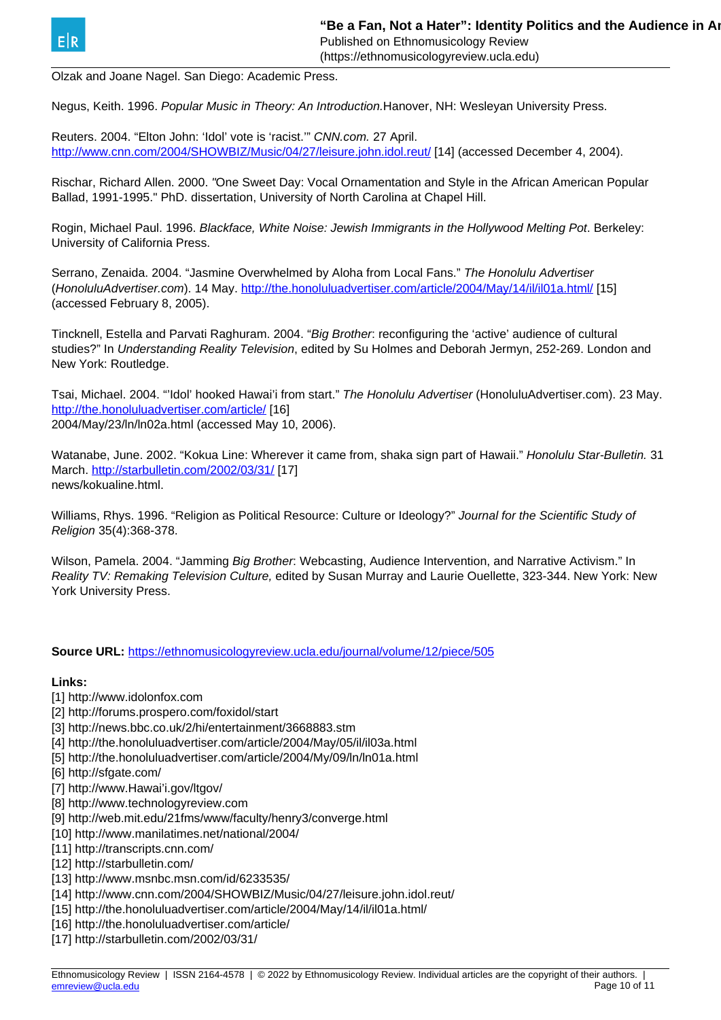Olzak and Joane Nagel. San Diego: Academic Press.

Negus, Keith. 1996. Popular Music in Theory: An Introduction.Hanover, NH: Wesleyan University Press.

Reuters. 2004. "Elton John: 'Idol' vote is 'racist.'" CNN.com. 27 April. <http://www.cnn.com/2004/SHOWBIZ/Music/04/27/leisure.john.idol.reut/> [14] (accessed December 4, 2004).

Rischar, Richard Allen. 2000. "One Sweet Day: Vocal Ornamentation and Style in the African American Popular Ballad, 1991-1995." PhD. dissertation, University of North Carolina at Chapel Hill.

Rogin, Michael Paul. 1996. Blackface, White Noise: Jewish Immigrants in the Hollywood Melting Pot. Berkeley: University of California Press.

Serrano, Zenaida, 2004. "Jasmine Overwhelmed by Aloha from Local Fans." The Honolulu Advertiser (HonoluluAdvertiser.com). 14 May.<http://the.honoluluadvertiser.com/article/2004/May/14/il/il01a.html/> [15] (accessed February 8, 2005).

Tincknell, Estella and Parvati Raghuram. 2004. "Big Brother: reconfiguring the 'active' audience of cultural studies?" In Understanding Reality Television, edited by Su Holmes and Deborah Jermyn, 252-269. London and New York: Routledge.

Tsai, Michael. 2004. "'Idol' hooked Hawai'i from start." The Honolulu Advertiser (HonoluluAdvertiser.com). 23 May. <http://the.honoluluadvertiser.com/article/> [16] 2004/May/23/ln/ln02a.html (accessed May 10, 2006).

Watanabe, June. 2002. "Kokua Line: Wherever it came from, shaka sign part of Hawaii." Honolulu Star-Bulletin. 31 March. <http://starbulletin.com/2002/03/31/> [17] news/kokualine.html.

Williams, Rhys. 1996. "Religion as Political Resource: Culture or Ideology?" Journal for the Scientific Study of Religion 35(4):368-378.

Wilson, Pamela. 2004. "Jamming Big Brother: Webcasting, Audience Intervention, and Narrative Activism." In Reality TV: Remaking Television Culture, edited by Susan Murray and Laurie Ouellette, 323-344. New York: New York University Press.

#### **Source URL:** <https://ethnomusicologyreview.ucla.edu/journal/volume/12/piece/505>

#### **Links:**

- [1] http://www.idolonfox.com
- [2] http://forums.prospero.com/foxidol/start
- [3] http://news.bbc.co.uk/2/hi/entertainment/3668883.stm
- [4] http://the.honoluluadvertiser.com/article/2004/May/05/il/il03a.html
- [5] http://the.honoluluadvertiser.com/article/2004/My/09/ln/ln01a.html
- [6] http://sfgate.com/
- [7] http://www.Hawai'i.gov/ltgov/
- [8] http://www.technologyreview.com
- [9] http://web.mit.edu/21fms/www/faculty/henry3/converge.html
- [10] http://www.manilatimes.net/national/2004/
- [11] http://transcripts.cnn.com/
- [12] http://starbulletin.com/
- [13] http://www.msnbc.msn.com/id/6233535/
- [14] http://www.cnn.com/2004/SHOWBIZ/Music/04/27/leisure.john.idol.reut/
- [15] http://the.honoluluadvertiser.com/article/2004/May/14/il/il01a.html/
- [16] http://the.honoluluadvertiser.com/article/
- [17] http://starbulletin.com/2002/03/31/